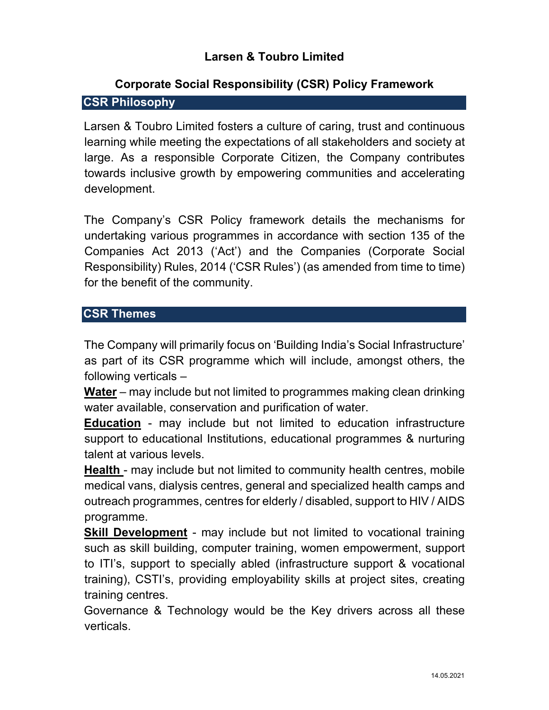# **Larsen & Toubro Limited**

# **Corporate Social Responsibility (CSR) Policy Framework CSR Philosophy**

Larsen & Toubro Limited fosters a culture of caring, trust and continuous learning while meeting the expectations of all stakeholders and society at large. As a responsible Corporate Citizen, the Company contributes towards inclusive growth by empowering communities and accelerating development.

The Company's CSR Policy framework details the mechanisms for undertaking various programmes in accordance with section 135 of the Companies Act 2013 ('Act') and the Companies (Corporate Social Responsibility) Rules, 2014 ('CSR Rules') (as amended from time to time) for the benefit of the community.

#### **CSR Themes**

The Company will primarily focus on 'Building India's Social Infrastructure' as part of its CSR programme which will include, amongst others, the following verticals –

**Water** – may include but not limited to programmes making clean drinking water available, conservation and purification of water.

**Education** - may include but not limited to education infrastructure support to educational Institutions, educational programmes & nurturing talent at various levels.

**Health** - may include but not limited to community health centres, mobile medical vans, dialysis centres, general and specialized health camps and outreach programmes, centres for elderly / disabled, support to HIV / AIDS programme.

**Skill Development** - may include but not limited to vocational training such as skill building, computer training, women empowerment, support to ITI's, support to specially abled (infrastructure support & vocational training), CSTI's, providing employability skills at project sites, creating training centres.

Governance & Technology would be the Key drivers across all these verticals.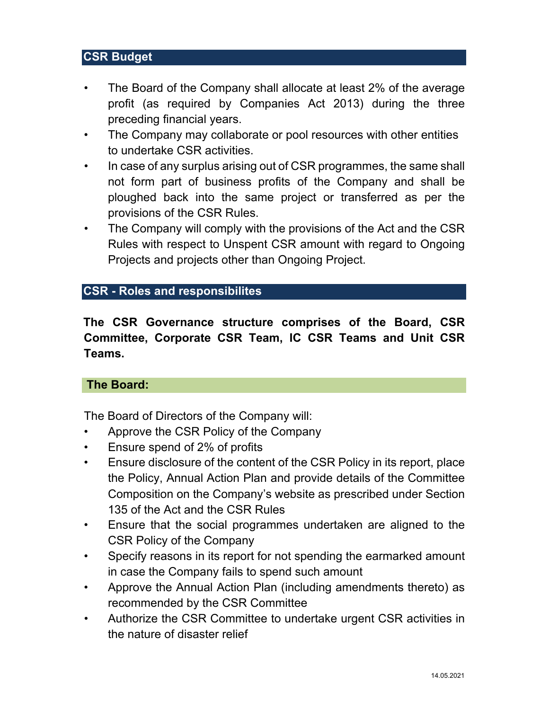## **CSR Budget**

- The Board of the Company shall allocate at least 2% of the average profit (as required by Companies Act 2013) during the three preceding financial years.
- The Company may collaborate or pool resources with other entities to undertake CSR activities.
- In case of any surplus arising out of CSR programmes, the same shall not form part of business profits of the Company and shall be ploughed back into the same project or transferred as per the provisions of the CSR Rules.
- The Company will comply with the provisions of the Act and the CSR Rules with respect to Unspent CSR amount with regard to Ongoing Projects and projects other than Ongoing Project.

#### **CSR - Roles and responsibilites**

**The CSR Governance structure comprises of the Board, CSR Committee, Corporate CSR Team, IC CSR Teams and Unit CSR Teams.** 

#### **The Board:**

The Board of Directors of the Company will:

- Approve the CSR Policy of the Company
- Ensure spend of 2% of profits
- Ensure disclosure of the content of the CSR Policy in its report, place the Policy, Annual Action Plan and provide details of the Committee Composition on the Company's website as prescribed under Section 135 of the Act and the CSR Rules
- Ensure that the social programmes undertaken are aligned to the CSR Policy of the Company
- Specify reasons in its report for not spending the earmarked amount in case the Company fails to spend such amount
- Approve the Annual Action Plan (including amendments thereto) as recommended by the CSR Committee
- Authorize the CSR Committee to undertake urgent CSR activities in the nature of disaster relief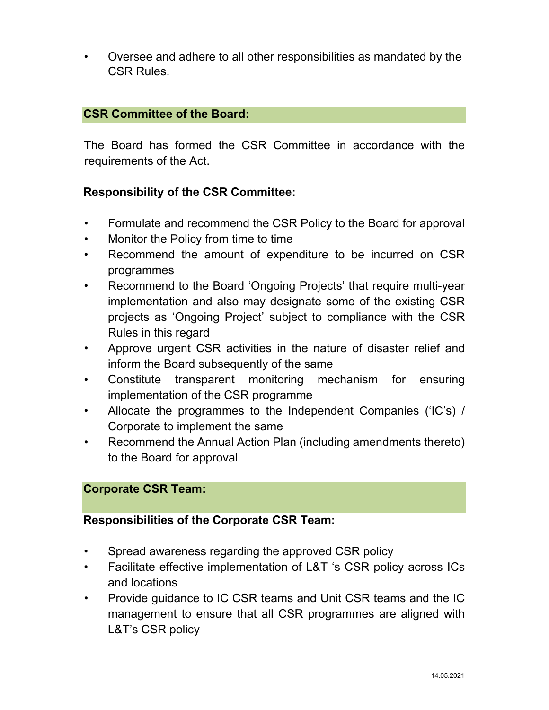• Oversee and adhere to all other responsibilities as mandated by the CSR Rules.

## **CSR Committee of the Board:**

The Board has formed the CSR Committee in accordance with the requirements of the Act.

### **Responsibility of the CSR Committee:**

- Formulate and recommend the CSR Policy to the Board for approval
- Monitor the Policy from time to time
- Recommend the amount of expenditure to be incurred on CSR programmes
- Recommend to the Board 'Ongoing Projects' that require multi-year implementation and also may designate some of the existing CSR projects as 'Ongoing Project' subject to compliance with the CSR Rules in this regard
- Approve urgent CSR activities in the nature of disaster relief and inform the Board subsequently of the same
- Constitute transparent monitoring mechanism for ensuring implementation of the CSR programme
- Allocate the programmes to the Independent Companies ('IC's) / Corporate to implement the same
- Recommend the Annual Action Plan (including amendments thereto) to the Board for approval

#### **Corporate CSR Team:**

#### **Responsibilities of the Corporate CSR Team:**

- Spread awareness regarding the approved CSR policy
- Facilitate effective implementation of L&T 's CSR policy across ICs and locations
- Provide guidance to IC CSR teams and Unit CSR teams and the IC management to ensure that all CSR programmes are aligned with L&T's CSR policy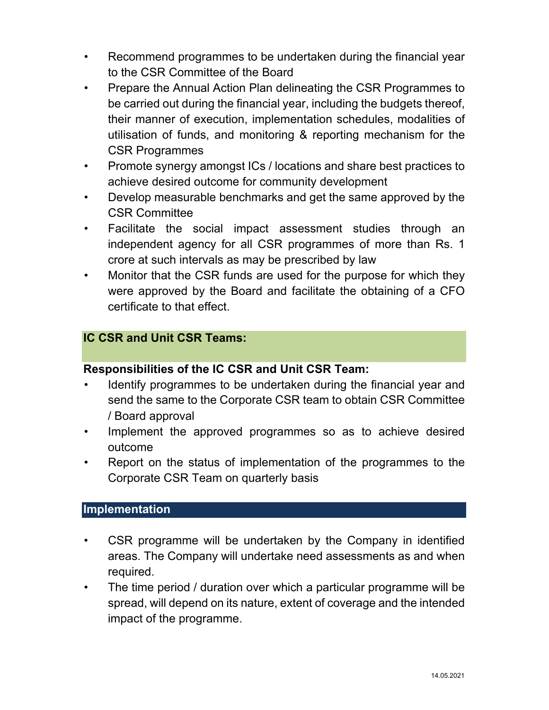- Recommend programmes to be undertaken during the financial year to the CSR Committee of the Board
- Prepare the Annual Action Plan delineating the CSR Programmes to be carried out during the financial year, including the budgets thereof, their manner of execution, implementation schedules, modalities of utilisation of funds, and monitoring & reporting mechanism for the CSR Programmes
- Promote synergy amongst ICs / locations and share best practices to achieve desired outcome for community development
- Develop measurable benchmarks and get the same approved by the CSR Committee
- Facilitate the social impact assessment studies through an independent agency for all CSR programmes of more than Rs. 1 crore at such intervals as may be prescribed by law
- Monitor that the CSR funds are used for the purpose for which they were approved by the Board and facilitate the obtaining of a CFO certificate to that effect.

## **IC CSR and Unit CSR Teams:**

#### **Responsibilities of the IC CSR and Unit CSR Team:**

- Identify programmes to be undertaken during the financial year and send the same to the Corporate CSR team to obtain CSR Committee / Board approval
- Implement the approved programmes so as to achieve desired outcome
- Report on the status of implementation of the programmes to the Corporate CSR Team on quarterly basis

#### **Implementation**

- CSR programme will be undertaken by the Company in identified areas. The Company will undertake need assessments as and when required.
- The time period / duration over which a particular programme will be spread, will depend on its nature, extent of coverage and the intended impact of the programme.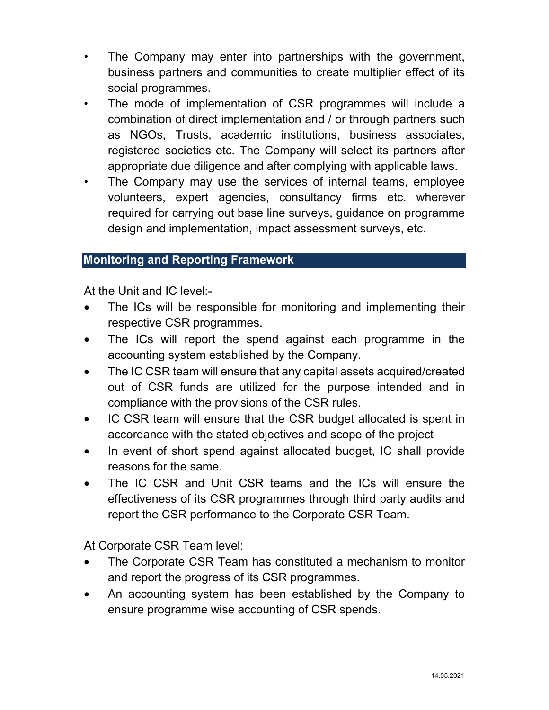- The Company may enter into partnerships with the government, business partners and communities to create multiplier effect of its social programmes.
- The mode of implementation of CSR programmes will include a combination of direct implementation and / or through partners such as NGOs, Trusts, academic institutions, business associates, registered societies etc. The Company will select its partners after appropriate due diligence and after complying with applicable laws.
- The Company may use the services of internal teams, employee volunteers, expert agencies, consultancy firms etc. wherever required for carrying out base line surveys, guidance on programme design and implementation, impact assessment surveys, etc.

### **Monitoring and Reporting Framework**

At the Unit and IC level:-

- The ICs will be responsible for monitoring and implementing their respective CSR programmes.
- The ICs will report the spend against each programme in the accounting system established by the Company.
- The IC CSR team will ensure that any capital assets acquired/created out of CSR funds are utilized for the purpose intended and in compliance with the provisions of the CSR rules.
- IC CSR team will ensure that the CSR budget allocated is spent in accordance with the stated objectives and scope of the project
- In event of short spend against allocated budget, IC shall provide reasons for the same.
- The IC CSR and Unit CSR teams and the ICs will ensure the effectiveness of its CSR programmes through third party audits and report the CSR performance to the Corporate CSR Team.

At Corporate CSR Team level:

- The Corporate CSR Team has constituted a mechanism to monitor and report the progress of its CSR programmes.
- An accounting system has been established by the Company to ensure programme wise accounting of CSR spends.